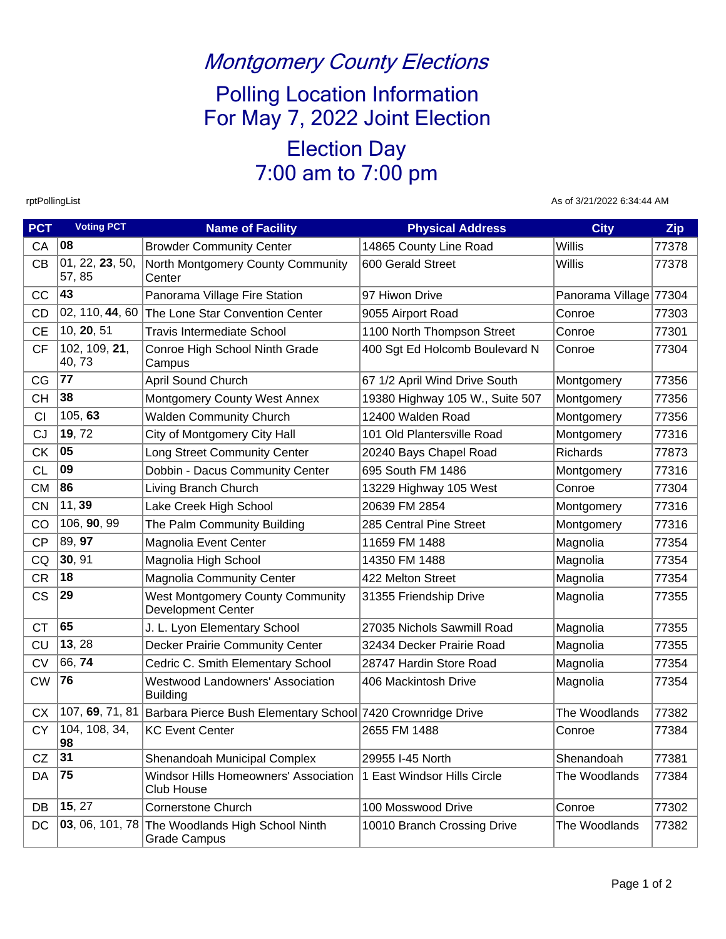## Montgomery County Elections

Polling Location Information For May 7, 2022 Joint Election

# Election Day 7:00 am to 7:00 pm

rptPollingList As of 3/21/2022 6:34:44 AM

| <b>PCT</b> | <b>Voting PCT</b>                               | <b>Name of Facility</b>                                                     | <b>Physical Address</b>         | <b>City</b>            | Zip   |
|------------|-------------------------------------------------|-----------------------------------------------------------------------------|---------------------------------|------------------------|-------|
| CA         | 08                                              | <b>Browder Community Center</b>                                             | 14865 County Line Road          | <b>Willis</b>          | 77378 |
| <b>CB</b>  | $\overline{0}$ 1, 22, <b>23</b> , 50,<br>57, 85 | North Montgomery County Community<br>Center                                 | 600 Gerald Street               | <b>Willis</b>          | 77378 |
| CC         | 43                                              | Panorama Village Fire Station                                               | 97 Hiwon Drive                  | Panorama Village 77304 |       |
| <b>CD</b>  | 02, 110, 44, 60                                 | The Lone Star Convention Center                                             | 9055 Airport Road               | Conroe                 | 77303 |
| <b>CE</b>  | 10, 20, 51                                      | <b>Travis Intermediate School</b>                                           | 1100 North Thompson Street      | Conroe                 | 77301 |
| <b>CF</b>  | 102, 109, 21,<br>40,73                          | Conroe High School Ninth Grade<br>Campus                                    | 400 Sgt Ed Holcomb Boulevard N  | Conroe                 | 77304 |
| CG         | 77                                              | April Sound Church                                                          | 67 1/2 April Wind Drive South   | Montgomery             | 77356 |
| <b>CH</b>  | 38                                              | Montgomery County West Annex                                                | 19380 Highway 105 W., Suite 507 | Montgomery             | 77356 |
| <b>CI</b>  | 105, 63                                         | <b>Walden Community Church</b>                                              | 12400 Walden Road               | Montgomery             | 77356 |
| <b>CJ</b>  | 19, 72                                          | City of Montgomery City Hall                                                | 101 Old Plantersville Road      | Montgomery             | 77316 |
| СK         | 05                                              | Long Street Community Center                                                | 20240 Bays Chapel Road          | Richards               | 77873 |
| <b>CL</b>  | 09                                              | Dobbin - Dacus Community Center                                             | 695 South FM 1486               | Montgomery             | 77316 |
| <b>CM</b>  | 86                                              | Living Branch Church                                                        | 13229 Highway 105 West          | Conroe                 | 77304 |
| <b>CN</b>  | 11, 39                                          | Lake Creek High School                                                      | 20639 FM 2854                   | Montgomery             | 77316 |
| CO         | 106, 90, 99                                     | The Palm Community Building                                                 | 285 Central Pine Street         | Montgomery             | 77316 |
| <b>CP</b>  | 89, 97                                          | Magnolia Event Center                                                       | 11659 FM 1488                   | Magnolia               | 77354 |
| CQ         | 30, 91                                          | Magnolia High School                                                        | 14350 FM 1488                   | Magnolia               | 77354 |
| <b>CR</b>  | 18                                              | <b>Magnolia Community Center</b>                                            | 422 Melton Street               | Magnolia               | 77354 |
| <b>CS</b>  | 29                                              | <b>West Montgomery County Community</b><br><b>Development Center</b>        | 31355 Friendship Drive          | Magnolia               | 77355 |
| <b>CT</b>  | 65                                              | J. L. Lyon Elementary School                                                | 27035 Nichols Sawmill Road      | Magnolia               | 77355 |
| CU         | 13, 28                                          | Decker Prairie Community Center                                             | 32434 Decker Prairie Road       | Magnolia               | 77355 |
| <b>CV</b>  | 66, 74                                          | Cedric C. Smith Elementary School                                           | 28747 Hardin Store Road         | Magnolia               | 77354 |
| <b>CW</b>  | 76                                              | <b>Westwood Landowners' Association</b><br><b>Building</b>                  | 406 Mackintosh Drive            | Magnolia               | 77354 |
| <b>CX</b>  |                                                 | 107, 69, 71, 81 Barbara Pierce Bush Elementary School 7420 Crownridge Drive |                                 | The Woodlands          | 77382 |
| <b>CY</b>  | 104, 108, 34,<br> 98                            | <b>KC Event Center</b>                                                      | 2655 FM 1488                    | Conroe                 | 77384 |
| CZ         | 31                                              | Shenandoah Municipal Complex                                                | 29955 I-45 North                | Shenandoah             | 77381 |
| DA         | 75                                              | Windsor Hills Homeowners' Association<br><b>Club House</b>                  | 1 East Windsor Hills Circle     | The Woodlands          | 77384 |
| DB         | 15, 27                                          | <b>Cornerstone Church</b>                                                   | 100 Mosswood Drive              | Conroe                 | 77302 |
| DC         | 03, 06, 101, 78                                 | The Woodlands High School Ninth<br><b>Grade Campus</b>                      | 10010 Branch Crossing Drive     | The Woodlands          | 77382 |